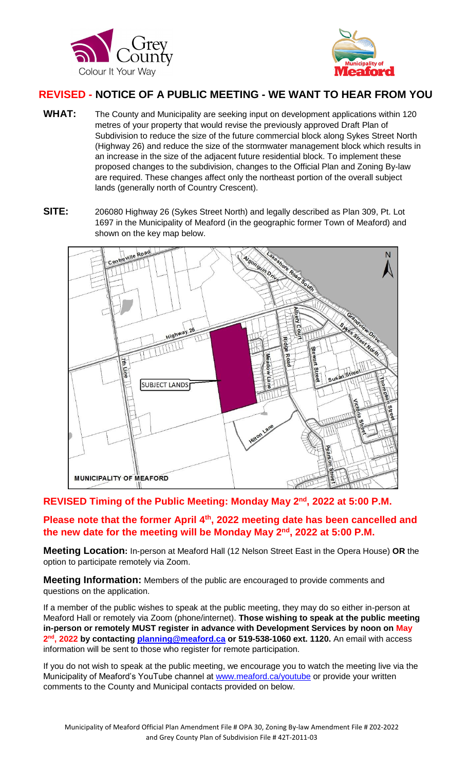



# **REVISED - NOTICE OF A PUBLIC MEETING - WE WANT TO HEAR FROM YOU**

- WHAT: The County and Municipality are seeking input on development applications within 120 metres of your property that would revise the previously approved Draft Plan of Subdivision to reduce the size of the future commercial block along Sykes Street North (Highway 26) and reduce the size of the stormwater management block which results in an increase in the size of the adjacent future residential block. To implement these proposed changes to the subdivision, changes to the Official Plan and Zoning By-law are required. These changes affect only the northeast portion of the overall subject lands (generally north of Country Crescent).
- **SITE:** 206080 Highway 26 (Sykes Street North) and legally described as Plan 309, Pt. Lot 1697 in the Municipality of Meaford (in the geographic former Town of Meaford) and shown on the key map below.



### **REVISED Timing of the Public Meeting: Monday May 2nd, 2022 at 5:00 P.M.**

**Please note that the former April 4th, 2022 meeting date has been cancelled and the new date for the meeting will be Monday May 2nd , 2022 at 5:00 P.M.**

**Meeting Location:** In-person at Meaford Hall (12 Nelson Street East in the Opera House) **OR** the option to participate remotely via Zoom.

**Meeting Information:** Members of the public are encouraged to provide comments and questions on the application.

If a member of the public wishes to speak at the public meeting, they may do so either in-person at Meaford Hall or remotely via Zoom (phone/internet). **Those wishing to speak at the public meeting in-person or remotely MUST register in advance with Development Services by noon on May 2 nd, 2022 by contacting [planning@meaford.ca](mailto:planning@meaford.ca) or 519-538-1060 ext. 1120.** An email with access information will be sent to those who register for remote participation.

If you do not wish to speak at the public meeting, we encourage you to watch the meeting live via the Municipality of Meaford's YouTube channel at [www.meaford.ca/youtube](http://www.meaford.ca/youtube) or provide your written comments to the County and Municipal contacts provided on below.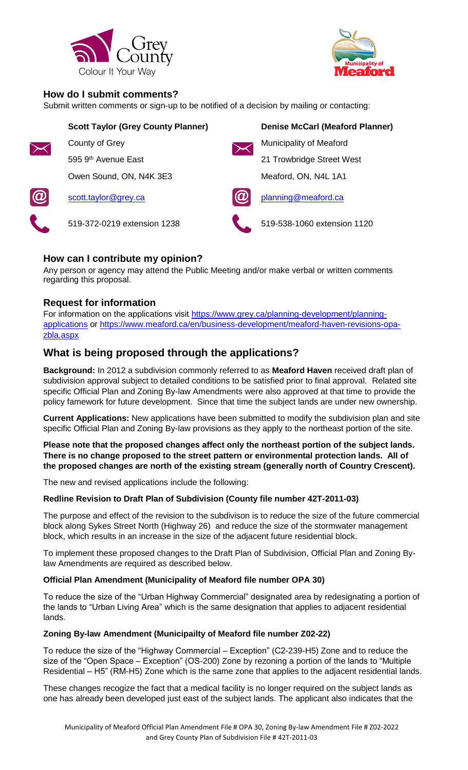



### **How do I submit comments?**

Submit written comments or sign-up to be notified of a decision by mailing or contacting:

|            | <b>Scott Taylor (Grey County Planner)</b> |  | <b>Denise McCarl (Meaford Planner)</b> |
|------------|-------------------------------------------|--|----------------------------------------|
|            | County of Grey                            |  | Municipality of Meaford                |
|            | 595 9 <sup>th</sup> Avenue East           |  | 21 Trowbridge Street West              |
|            | Owen Sound, ON, N4K 3E3                   |  | Meaford, ON, N4L 1A1                   |
| $\bigcirc$ | scott.taylor@grey.ca                      |  | planning@meaford.ca                    |
|            | 519-372-0219 extension 1238               |  | 519-538-1060 extension 1120            |
|            |                                           |  |                                        |

# **How can I contribute my opinion?**

Any person or agency may attend the Public Meeting and/or make verbal or written comments regarding this proposal.

### **Request for information**

For information on the applications visit [https://www.grey.ca/planning-development/planning](https://www.grey.ca/planning-development/planning-applications)[applications](https://www.grey.ca/planning-development/planning-applications) or [https://www.meaford.ca/en/business-development/meaford-haven-revisions-opa](https://www.meaford.ca/en/business-development/meaford-haven-revisions-opa-zbla.aspx)[zbla.aspx](https://www.meaford.ca/en/business-development/meaford-haven-revisions-opa-zbla.aspx)

# **What is being proposed through the applications?**

**Background:** In 2012 a subdivision commonly referred to as **Meaford Haven** received draft plan of subdivision approval subject to detailed conditions to be satisfied prior to final approval. Related site specific Official Plan and Zoning By-law Amendments were also approved at that time to provide the policy famework for future development. Since that time the subject lands are under new ownership.

**Current Applications:** New applications have been submitted to modify the subdivision plan and site specific Official Plan and Zoning By-law provisions as they apply to the northeast portion of the site.

**Please note that the proposed changes affect only the northeast portion of the subject lands. There is no change proposed to the street pattern or environmental protection lands. All of the proposed changes are north of the existing stream (generally north of Country Crescent).**

The new and revised applications include the following:

#### **Redline Revision to Draft Plan of Subdivision (County file number 42T-2011-03)**

The purpose and effect of the revision to the subdivison is to reduce the size of the future commercial block along Sykes Street North (Highway 26) and reduce the size of the stormwater management block, which results in an increase in the size of the adjacent future residential block.

To implement these proposed changes to the Draft Plan of Subdivision, Official Plan and Zoning Bylaw Amendments are required as described below.

#### **Official Plan Amendment (Municipality of Meaford file number OPA 30)**

To reduce the size of the "Urban Highway Commercial" designated area by redesignating a portion of the lands to "Urban Living Area" which is the same designation that applies to adjacent residential lands.

#### **Zoning By-law Amendment (Municipailty of Meaford file number Z02-22)**

To reduce the size of the "Highway Commercial – Exception" (C2-239-H5) Zone and to reduce the size of the "Open Space – Exception" (OS-200) Zone by rezoning a portion of the lands to "Multiple Residential – H5" (RM-H5) Zone which is the same zone that applies to the adjacent residential lands.

These changes recogize the fact that a medical facility is no longer required on the subject lands as one has already been developed just east of the subject lands. The applicant also indicates that the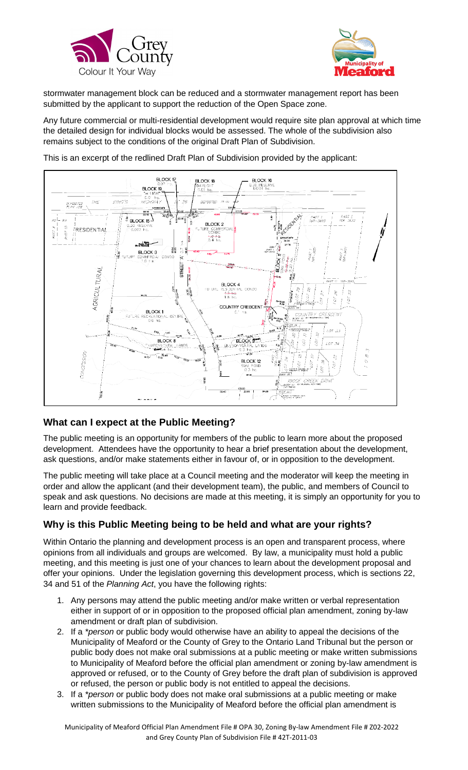



stormwater management block can be reduced and a stormwater management report has been submitted by the applicant to support the reduction of the Open Space zone.

Any future commercial or multi-residential development would require site plan approval at which time the detailed design for individual blocks would be assessed. The whole of the subdivision also remains subject to the conditions of the original Draft Plan of Subdivision.





## **What can I expect at the Public Meeting?**

The public meeting is an opportunity for members of the public to learn more about the proposed development. Attendees have the opportunity to hear a brief presentation about the development, ask questions, and/or make statements either in favour of, or in opposition to the development.

The public meeting will take place at a Council meeting and the moderator will keep the meeting in order and allow the applicant (and their development team), the public, and members of Council to speak and ask questions. No decisions are made at this meeting, it is simply an opportunity for you to learn and provide feedback.

## **Why is this Public Meeting being to be held and what are your rights?**

Within Ontario the planning and development process is an open and transparent process, where opinions from all individuals and groups are welcomed. By law, a municipality must hold a public meeting, and this meeting is just one of your chances to learn about the development proposal and offer your opinions. Under the legislation governing this development process, which is sections 22, 34 and 51 of the *Planning Act*, you have the following rights:

- 1. Any persons may attend the public meeting and/or make written or verbal representation either in support of or in opposition to the proposed official plan amendment, zoning by-law amendment or draft plan of subdivision.
- 2. If a *\*person* or public body would otherwise have an ability to appeal the decisions of the Municipality of Meaford or the County of Grey to the Ontario Land Tribunal but the person or public body does not make oral submissions at a public meeting or make written submissions to Municipality of Meaford before the official plan amendment or zoning by-law amendment is approved or refused, or to the County of Grey before the draft plan of subdivision is approved or refused, the person or public body is not entitled to appeal the decisions.
- 3. If a *\*person* or public body does not make oral submissions at a public meeting or make written submissions to the Municipality of Meaford before the official plan amendment is